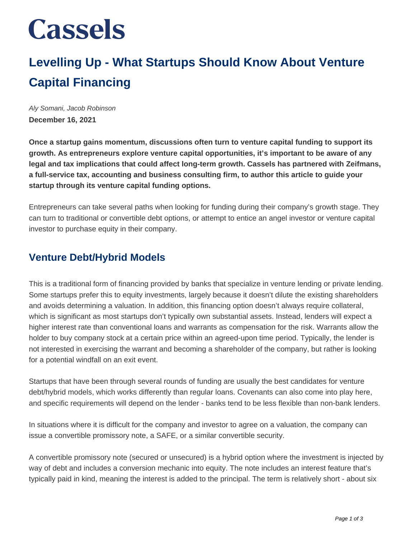# **Cassels**

### **Levelling Up - What Startups Should Know About Venture Capital Financing**

Aly Somani, Jacob Robinson **December 16, 2021**

**Once a startup gains momentum, discussions often turn to venture capital funding to support its growth. As entrepreneurs explore venture capital opportunities, it's important to be aware of any legal and tax implications that could affect long-term growth. Cassels has partnered with Zeifmans, a full-service tax, accounting and business consulting firm, to author this article to guide your startup through its venture capital funding options.**

Entrepreneurs can take several paths when looking for funding during their company's growth stage. They can turn to traditional or convertible debt options, or attempt to entice an angel investor or venture capital investor to purchase equity in their company.

#### **Venture Debt/Hybrid Models**

This is a traditional form of financing provided by banks that specialize in venture lending or private lending. Some startups prefer this to equity investments, largely because it doesn't dilute the existing shareholders and avoids determining a valuation. In addition, this financing option doesn't always require collateral, which is significant as most startups don't typically own substantial assets. Instead, lenders will expect a higher interest rate than conventional loans and warrants as compensation for the risk. Warrants allow the holder to buy company stock at a certain price within an agreed-upon time period. Typically, the lender is not interested in exercising the warrant and becoming a shareholder of the company, but rather is looking for a potential windfall on an exit event.

Startups that have been through several rounds of funding are usually the best candidates for venture debt/hybrid models, which works differently than regular loans. Covenants can also come into play here, and specific requirements will depend on the lender - banks tend to be less flexible than non-bank lenders.

In situations where it is difficult for the company and investor to agree on a valuation, the company can issue a convertible promissory note, a SAFE, or a similar convertible security.

A convertible promissory note (secured or unsecured) is a hybrid option where the investment is injected by way of debt and includes a conversion mechanic into equity. The note includes an interest feature that's typically paid in kind, meaning the interest is added to the principal. The term is relatively short - about six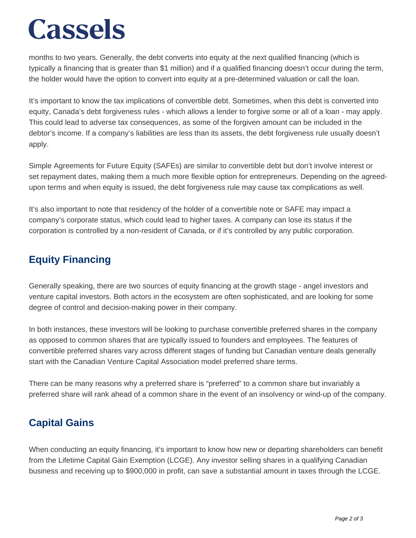## **Cassels**

months to two years. Generally, the debt converts into equity at the next qualified financing (which is typically a financing that is greater than \$1 million) and if a qualified financing doesn't occur during the term, the holder would have the option to convert into equity at a pre-determined valuation or call the loan.

It's important to know the tax implications of convertible debt. Sometimes, when this debt is converted into equity, Canada's debt forgiveness rules - which allows a lender to forgive some or all of a loan - may apply. This could lead to adverse tax consequences, as some of the forgiven amount can be included in the debtor's income. If a company's liabilities are less than its assets, the debt forgiveness rule usually doesn't apply.

Simple Agreements for Future Equity (SAFEs) are similar to convertible debt but don't involve interest or set repayment dates, making them a much more flexible option for entrepreneurs. Depending on the agreedupon terms and when equity is issued, the debt forgiveness rule may cause tax complications as well.

It's also important to note that residency of the holder of a convertible note or SAFE may impact a company's corporate status, which could lead to higher taxes. A company can lose its status if the corporation is controlled by a non-resident of Canada, or if it's controlled by any public corporation.

### **Equity Financing**

Generally speaking, there are two sources of equity financing at the growth stage - angel investors and venture capital investors. Both actors in the ecosystem are often sophisticated, and are looking for some degree of control and decision-making power in their company.

In both instances, these investors will be looking to purchase convertible preferred shares in the company as opposed to common shares that are typically issued to founders and employees. The features of convertible preferred shares vary across different stages of funding but Canadian venture deals generally start with the Canadian Venture Capital Association model preferred share terms.

There can be many reasons why a preferred share is "preferred" to a common share but invariably a preferred share will rank ahead of a common share in the event of an insolvency or wind-up of the company.

### **Capital Gains**

When conducting an equity financing, it's important to know how new or departing shareholders can benefit from the Lifetime Capital Gain Exemption (LCGE). Any investor selling shares in a qualifying Canadian business and receiving up to \$900,000 in profit, can save a substantial amount in taxes through the LCGE.